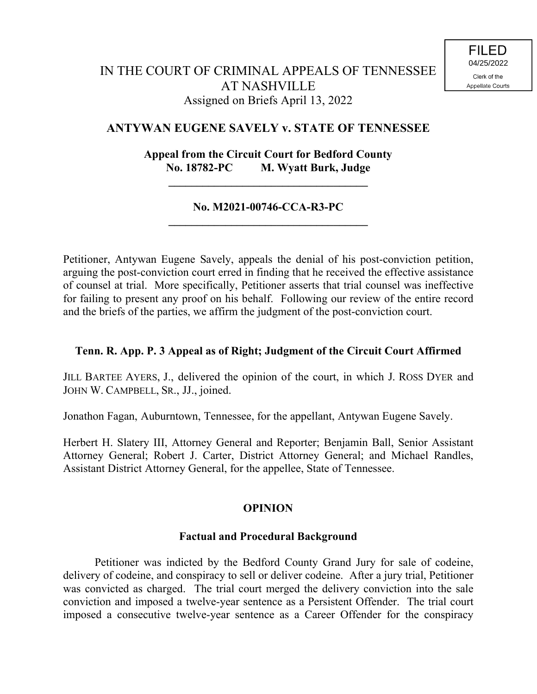# **ANTYWAN EUGENE SAVELY v. STATE OF TENNESSEE**

# **Appeal from the Circuit Court for Bedford County No. 18782-PC M. Wyatt Burk, Judge**

**\_\_\_\_\_\_\_\_\_\_\_\_\_\_\_\_\_\_\_\_\_\_\_\_\_\_\_\_\_\_\_\_\_\_\_**

#### **No. M2021-00746-CCA-R3-PC \_\_\_\_\_\_\_\_\_\_\_\_\_\_\_\_\_\_\_\_\_\_\_\_\_\_\_\_\_\_\_\_\_\_\_**

Petitioner, Antywan Eugene Savely, appeals the denial of his post-conviction petition, arguing the post-conviction court erred in finding that he received the effective assistance of counsel at trial. More specifically, Petitioner asserts that trial counsel was ineffective for failing to present any proof on his behalf. Following our review of the entire record and the briefs of the parties, we affirm the judgment of the post-conviction court.

## **Tenn. R. App. P. 3 Appeal as of Right; Judgment of the Circuit Court Affirmed**

JILL BARTEE AYERS, J., delivered the opinion of the court, in which J. ROSS DYER and JOHN W. CAMPBELL, SR., JJ., joined.

Jonathon Fagan, Auburntown, Tennessee, for the appellant, Antywan Eugene Savely.

Herbert H. Slatery III, Attorney General and Reporter; Benjamin Ball, Senior Assistant Attorney General; Robert J. Carter, District Attorney General; and Michael Randles, Assistant District Attorney General, for the appellee, State of Tennessee.

## **OPINION**

## **Factual and Procedural Background**

Petitioner was indicted by the Bedford County Grand Jury for sale of codeine, delivery of codeine, and conspiracy to sell or deliver codeine. After a jury trial, Petitioner was convicted as charged. The trial court merged the delivery conviction into the sale conviction and imposed a twelve-year sentence as a Persistent Offender. The trial court imposed a consecutive twelve-year sentence as a Career Offender for the conspiracy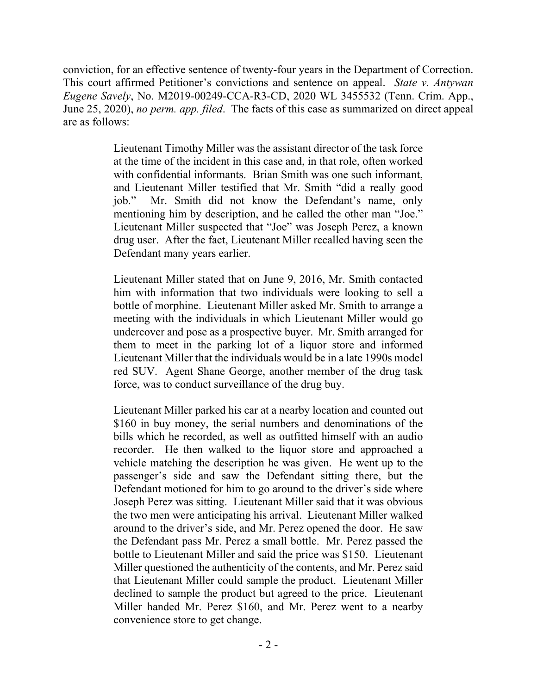conviction, for an effective sentence of twenty-four years in the Department of Correction. This court affirmed Petitioner's convictions and sentence on appeal. *State v. Antywan Eugene Savely*, No. M2019-00249-CCA-R3-CD, 2020 WL 3455532 (Tenn. Crim. App., June 25, 2020), *no perm. app. filed*. The facts of this case as summarized on direct appeal are as follows:

> Lieutenant Timothy Miller was the assistant director of the task force at the time of the incident in this case and, in that role, often worked with confidential informants. Brian Smith was one such informant, and Lieutenant Miller testified that Mr. Smith "did a really good job." Mr. Smith did not know the Defendant's name, only mentioning him by description, and he called the other man "Joe." Lieutenant Miller suspected that "Joe" was Joseph Perez, a known drug user. After the fact, Lieutenant Miller recalled having seen the Defendant many years earlier.

> Lieutenant Miller stated that on June 9, 2016, Mr. Smith contacted him with information that two individuals were looking to sell a bottle of morphine. Lieutenant Miller asked Mr. Smith to arrange a meeting with the individuals in which Lieutenant Miller would go undercover and pose as a prospective buyer. Mr. Smith arranged for them to meet in the parking lot of a liquor store and informed Lieutenant Miller that the individuals would be in a late 1990s model red SUV. Agent Shane George, another member of the drug task force, was to conduct surveillance of the drug buy.

> Lieutenant Miller parked his car at a nearby location and counted out \$160 in buy money, the serial numbers and denominations of the bills which he recorded, as well as outfitted himself with an audio recorder. He then walked to the liquor store and approached a vehicle matching the description he was given. He went up to the passenger's side and saw the Defendant sitting there, but the Defendant motioned for him to go around to the driver's side where Joseph Perez was sitting. Lieutenant Miller said that it was obvious the two men were anticipating his arrival. Lieutenant Miller walked around to the driver's side, and Mr. Perez opened the door. He saw the Defendant pass Mr. Perez a small bottle. Mr. Perez passed the bottle to Lieutenant Miller and said the price was \$150. Lieutenant Miller questioned the authenticity of the contents, and Mr. Perez said that Lieutenant Miller could sample the product. Lieutenant Miller declined to sample the product but agreed to the price. Lieutenant Miller handed Mr. Perez \$160, and Mr. Perez went to a nearby convenience store to get change.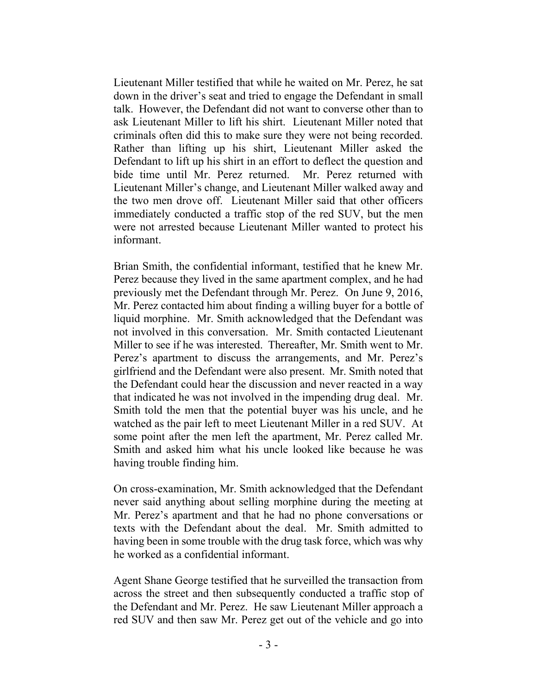Lieutenant Miller testified that while he waited on Mr. Perez, he sat down in the driver's seat and tried to engage the Defendant in small talk. However, the Defendant did not want to converse other than to ask Lieutenant Miller to lift his shirt. Lieutenant Miller noted that criminals often did this to make sure they were not being recorded. Rather than lifting up his shirt, Lieutenant Miller asked the Defendant to lift up his shirt in an effort to deflect the question and bide time until Mr. Perez returned. Mr. Perez returned with Lieutenant Miller's change, and Lieutenant Miller walked away and the two men drove off. Lieutenant Miller said that other officers immediately conducted a traffic stop of the red SUV, but the men were not arrested because Lieutenant Miller wanted to protect his informant.

Brian Smith, the confidential informant, testified that he knew Mr. Perez because they lived in the same apartment complex, and he had previously met the Defendant through Mr. Perez. On June 9, 2016, Mr. Perez contacted him about finding a willing buyer for a bottle of liquid morphine. Mr. Smith acknowledged that the Defendant was not involved in this conversation. Mr. Smith contacted Lieutenant Miller to see if he was interested. Thereafter, Mr. Smith went to Mr. Perez's apartment to discuss the arrangements, and Mr. Perez's girlfriend and the Defendant were also present. Mr. Smith noted that the Defendant could hear the discussion and never reacted in a way that indicated he was not involved in the impending drug deal. Mr. Smith told the men that the potential buyer was his uncle, and he watched as the pair left to meet Lieutenant Miller in a red SUV. At some point after the men left the apartment, Mr. Perez called Mr. Smith and asked him what his uncle looked like because he was having trouble finding him.

On cross-examination, Mr. Smith acknowledged that the Defendant never said anything about selling morphine during the meeting at Mr. Perez's apartment and that he had no phone conversations or texts with the Defendant about the deal. Mr. Smith admitted to having been in some trouble with the drug task force, which was why he worked as a confidential informant.

Agent Shane George testified that he surveilled the transaction from across the street and then subsequently conducted a traffic stop of the Defendant and Mr. Perez. He saw Lieutenant Miller approach a red SUV and then saw Mr. Perez get out of the vehicle and go into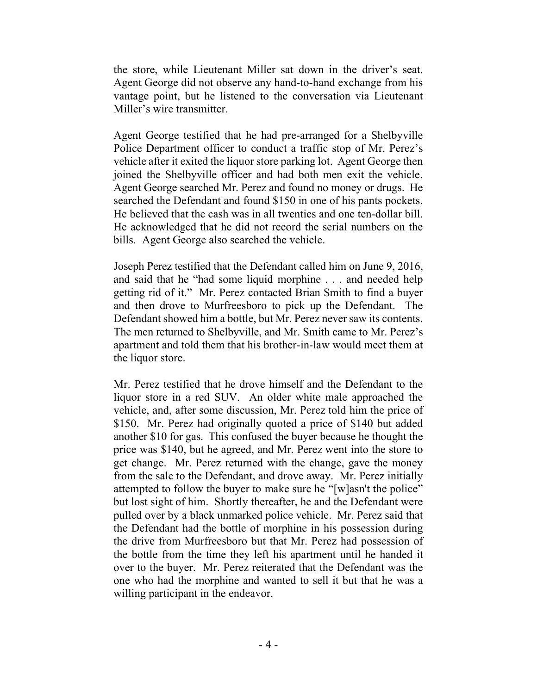the store, while Lieutenant Miller sat down in the driver's seat. Agent George did not observe any hand-to-hand exchange from his vantage point, but he listened to the conversation via Lieutenant Miller's wire transmitter.

Agent George testified that he had pre-arranged for a Shelbyville Police Department officer to conduct a traffic stop of Mr. Perez's vehicle after it exited the liquor store parking lot. Agent George then joined the Shelbyville officer and had both men exit the vehicle. Agent George searched Mr. Perez and found no money or drugs. He searched the Defendant and found \$150 in one of his pants pockets. He believed that the cash was in all twenties and one ten-dollar bill. He acknowledged that he did not record the serial numbers on the bills. Agent George also searched the vehicle.

Joseph Perez testified that the Defendant called him on June 9, 2016, and said that he "had some liquid morphine . . . and needed help getting rid of it." Mr. Perez contacted Brian Smith to find a buyer and then drove to Murfreesboro to pick up the Defendant. The Defendant showed him a bottle, but Mr. Perez never saw its contents. The men returned to Shelbyville, and Mr. Smith came to Mr. Perez's apartment and told them that his brother-in-law would meet them at the liquor store.

Mr. Perez testified that he drove himself and the Defendant to the liquor store in a red SUV. An older white male approached the vehicle, and, after some discussion, Mr. Perez told him the price of \$150. Mr. Perez had originally quoted a price of \$140 but added another \$10 for gas. This confused the buyer because he thought the price was \$140, but he agreed, and Mr. Perez went into the store to get change. Mr. Perez returned with the change, gave the money from the sale to the Defendant, and drove away. Mr. Perez initially attempted to follow the buyer to make sure he "[w]asn't the police" but lost sight of him. Shortly thereafter, he and the Defendant were pulled over by a black unmarked police vehicle. Mr. Perez said that the Defendant had the bottle of morphine in his possession during the drive from Murfreesboro but that Mr. Perez had possession of the bottle from the time they left his apartment until he handed it over to the buyer. Mr. Perez reiterated that the Defendant was the one who had the morphine and wanted to sell it but that he was a willing participant in the endeavor.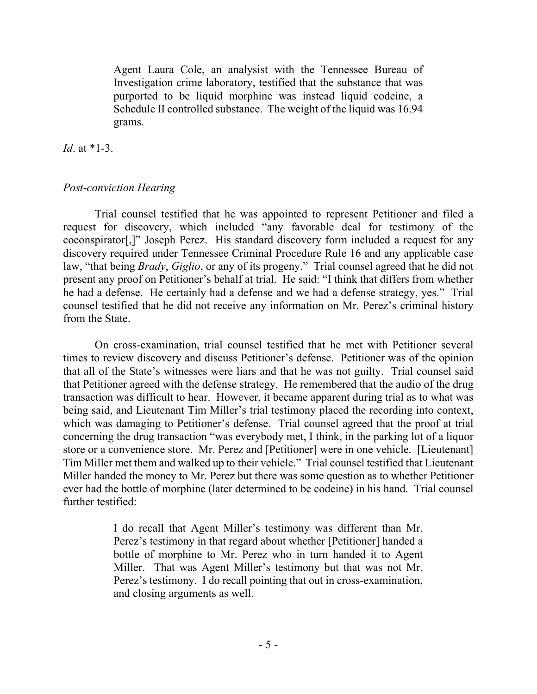Agent Laura Cole, an analysist with the Tennessee Bureau of Investigation crime laboratory, testified that the substance that was purported to be liquid morphine was instead liquid codeine, a Schedule II controlled substance. The weight of the liquid was 16.94 grams.

*Id*. at \*1-3.

#### *Post-conviction Hearing*

Trial counsel testified that he was appointed to represent Petitioner and filed a request for discovery, which included "any favorable deal for testimony of the coconspirator[,]" Joseph Perez. His standard discovery form included a request for any discovery required under Tennessee Criminal Procedure Rule 16 and any applicable case law, "that being *Brady*, *Giglio*, or any of its progeny." Trial counsel agreed that he did not present any proof on Petitioner's behalf at trial. He said: "I think that differs from whether he had a defense. He certainly had a defense and we had a defense strategy, yes." Trial counsel testified that he did not receive any information on Mr. Perez's criminal history from the State.

On cross-examination, trial counsel testified that he met with Petitioner several times to review discovery and discuss Petitioner's defense. Petitioner was of the opinion that all of the State's witnesses were liars and that he was not guilty. Trial counsel said that Petitioner agreed with the defense strategy. He remembered that the audio of the drug transaction was difficult to hear. However, it became apparent during trial as to what was being said, and Lieutenant Tim Miller's trial testimony placed the recording into context, which was damaging to Petitioner's defense. Trial counsel agreed that the proof at trial concerning the drug transaction "was everybody met, I think, in the parking lot of a liquor store or a convenience store. Mr. Perez and [Petitioner] were in one vehicle. [Lieutenant] Tim Miller met them and walked up to their vehicle." Trial counsel testified that Lieutenant Miller handed the money to Mr. Perez but there was some question as to whether Petitioner ever had the bottle of morphine (later determined to be codeine) in his hand. Trial counsel further testified:

> I do recall that Agent Miller's testimony was different than Mr. Perez's testimony in that regard about whether [Petitioner] handed a bottle of morphine to Mr. Perez who in turn handed it to Agent Miller. That was Agent Miller's testimony but that was not Mr. Perez's testimony. I do recall pointing that out in cross-examination, and closing arguments as well.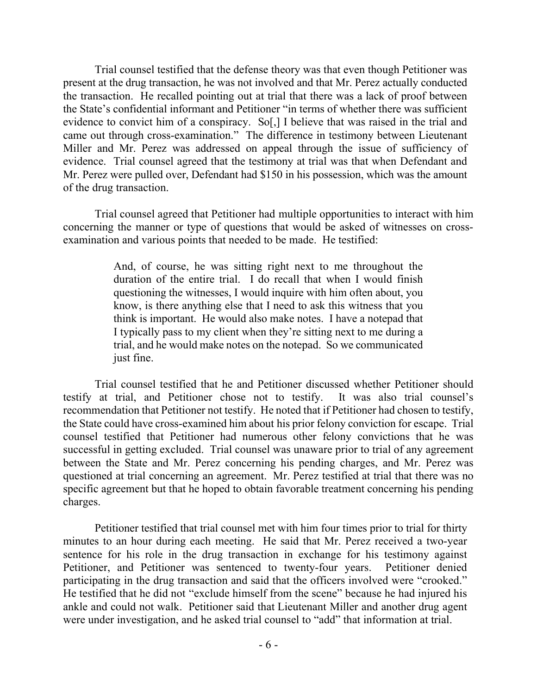Trial counsel testified that the defense theory was that even though Petitioner was present at the drug transaction, he was not involved and that Mr. Perez actually conducted the transaction. He recalled pointing out at trial that there was a lack of proof between the State's confidential informant and Petitioner "in terms of whether there was sufficient evidence to convict him of a conspiracy. So[,] I believe that was raised in the trial and came out through cross-examination." The difference in testimony between Lieutenant Miller and Mr. Perez was addressed on appeal through the issue of sufficiency of evidence. Trial counsel agreed that the testimony at trial was that when Defendant and Mr. Perez were pulled over, Defendant had \$150 in his possession, which was the amount of the drug transaction.

Trial counsel agreed that Petitioner had multiple opportunities to interact with him concerning the manner or type of questions that would be asked of witnesses on crossexamination and various points that needed to be made. He testified:

> And, of course, he was sitting right next to me throughout the duration of the entire trial. I do recall that when I would finish questioning the witnesses, I would inquire with him often about, you know, is there anything else that I need to ask this witness that you think is important. He would also make notes. I have a notepad that I typically pass to my client when they're sitting next to me during a trial, and he would make notes on the notepad. So we communicated just fine.

Trial counsel testified that he and Petitioner discussed whether Petitioner should testify at trial, and Petitioner chose not to testify. It was also trial counsel's recommendation that Petitioner not testify. He noted that if Petitioner had chosen to testify, the State could have cross-examined him about his prior felony conviction for escape. Trial counsel testified that Petitioner had numerous other felony convictions that he was successful in getting excluded. Trial counsel was unaware prior to trial of any agreement between the State and Mr. Perez concerning his pending charges, and Mr. Perez was questioned at trial concerning an agreement. Mr. Perez testified at trial that there was no specific agreement but that he hoped to obtain favorable treatment concerning his pending charges.

Petitioner testified that trial counsel met with him four times prior to trial for thirty minutes to an hour during each meeting. He said that Mr. Perez received a two-year sentence for his role in the drug transaction in exchange for his testimony against Petitioner, and Petitioner was sentenced to twenty-four years. Petitioner denied participating in the drug transaction and said that the officers involved were "crooked." He testified that he did not "exclude himself from the scene" because he had injured his ankle and could not walk. Petitioner said that Lieutenant Miller and another drug agent were under investigation, and he asked trial counsel to "add" that information at trial.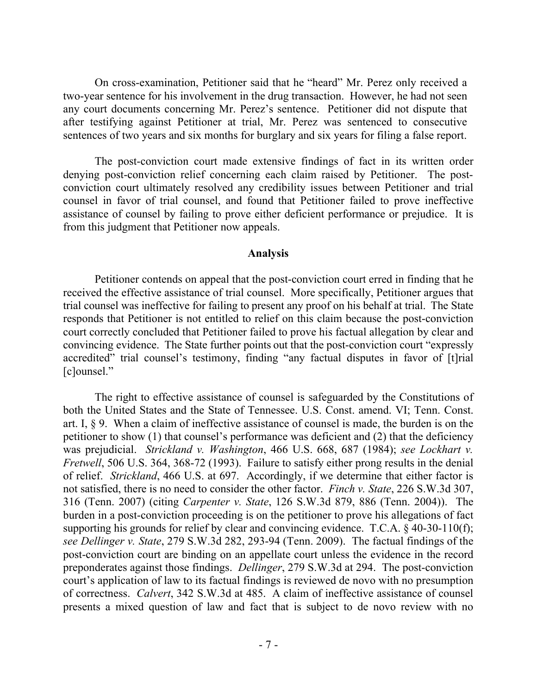On cross-examination, Petitioner said that he "heard" Mr. Perez only received a two-year sentence for his involvement in the drug transaction. However, he had not seen any court documents concerning Mr. Perez's sentence. Petitioner did not dispute that after testifying against Petitioner at trial, Mr. Perez was sentenced to consecutive sentences of two years and six months for burglary and six years for filing a false report.

The post-conviction court made extensive findings of fact in its written order denying post-conviction relief concerning each claim raised by Petitioner. The postconviction court ultimately resolved any credibility issues between Petitioner and trial counsel in favor of trial counsel, and found that Petitioner failed to prove ineffective assistance of counsel by failing to prove either deficient performance or prejudice. It is from this judgment that Petitioner now appeals.

#### **Analysis**

Petitioner contends on appeal that the post-conviction court erred in finding that he received the effective assistance of trial counsel. More specifically, Petitioner argues that trial counsel was ineffective for failing to present any proof on his behalf at trial. The State responds that Petitioner is not entitled to relief on this claim because the post-conviction court correctly concluded that Petitioner failed to prove his factual allegation by clear and convincing evidence. The State further points out that the post-conviction court "expressly accredited" trial counsel's testimony, finding "any factual disputes in favor of [t]rial [c]ounsel."

The right to effective assistance of counsel is safeguarded by the Constitutions of both the United States and the State of Tennessee. U.S. Const. amend. VI; Tenn. Const. art. I, § 9. When a claim of ineffective assistance of counsel is made, the burden is on the petitioner to show (1) that counsel's performance was deficient and (2) that the deficiency was prejudicial. *Strickland v. Washington*, 466 U.S. 668, 687 (1984); *see Lockhart v. Fretwell*, 506 U.S. 364, 368-72 (1993). Failure to satisfy either prong results in the denial of relief. *Strickland*, 466 U.S. at 697. Accordingly, if we determine that either factor is not satisfied, there is no need to consider the other factor. *Finch v. State*, 226 S.W.3d 307, 316 (Tenn. 2007) (citing *Carpenter v. State*, 126 S.W.3d 879, 886 (Tenn. 2004)). The burden in a post-conviction proceeding is on the petitioner to prove his allegations of fact supporting his grounds for relief by clear and convincing evidence. T.C.A. § 40-30-110(f); *see Dellinger v. State*, 279 S.W.3d 282, 293-94 (Tenn. 2009). The factual findings of the post-conviction court are binding on an appellate court unless the evidence in the record preponderates against those findings. *Dellinger*, 279 S.W.3d at 294. The post-conviction court's application of law to its factual findings is reviewed de novo with no presumption of correctness. *Calvert*, 342 S.W.3d at 485. A claim of ineffective assistance of counsel presents a mixed question of law and fact that is subject to de novo review with no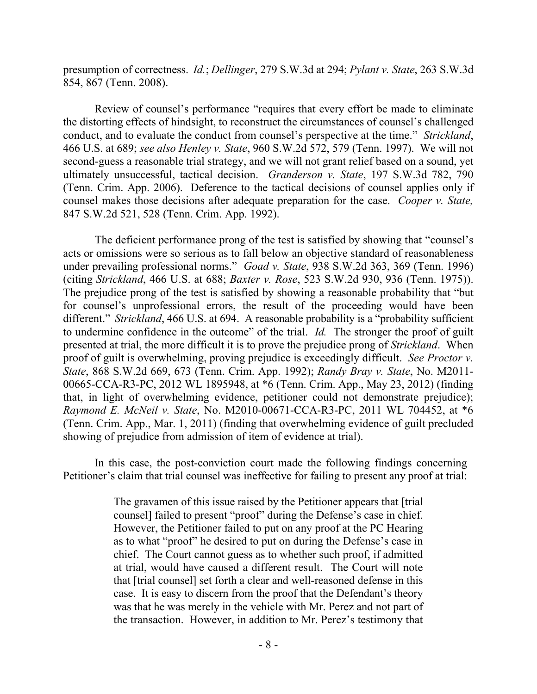presumption of correctness. *Id.*; *Dellinger*, 279 S.W.3d at 294; *Pylant v. State*, 263 S.W.3d 854, 867 (Tenn. 2008).

Review of counsel's performance "requires that every effort be made to eliminate the distorting effects of hindsight, to reconstruct the circumstances of counsel's challenged conduct, and to evaluate the conduct from counsel's perspective at the time." *Strickland*, 466 U.S. at 689; *see also Henley v. State*, 960 S.W.2d 572, 579 (Tenn. 1997). We will not second-guess a reasonable trial strategy, and we will not grant relief based on a sound, yet ultimately unsuccessful, tactical decision. *Granderson v. State*, 197 S.W.3d 782, 790 (Tenn. Crim. App. 2006). Deference to the tactical decisions of counsel applies only if counsel makes those decisions after adequate preparation for the case. *Cooper v. State,* 847 S.W.2d 521, 528 (Tenn. Crim. App. 1992).

The deficient performance prong of the test is satisfied by showing that "counsel's acts or omissions were so serious as to fall below an objective standard of reasonableness under prevailing professional norms." *Goad v. State*, 938 S.W.2d 363, 369 (Tenn. 1996) (citing *Strickland*, 466 U.S. at 688; *Baxter v. Rose*, 523 S.W.2d 930, 936 (Tenn. 1975)). The prejudice prong of the test is satisfied by showing a reasonable probability that "but for counsel's unprofessional errors, the result of the proceeding would have been different." *Strickland*, 466 U.S. at 694. A reasonable probability is a "probability sufficient to undermine confidence in the outcome" of the trial. *Id.* The stronger the proof of guilt presented at trial, the more difficult it is to prove the prejudice prong of *Strickland*. When proof of guilt is overwhelming, proving prejudice is exceedingly difficult. *See Proctor v. State*, 868 S.W.2d 669, 673 (Tenn. Crim. App. 1992); *Randy Bray v. State*, No. M2011- 00665-CCA-R3-PC, 2012 WL 1895948, at \*6 (Tenn. Crim. App., May 23, 2012) (finding that, in light of overwhelming evidence, petitioner could not demonstrate prejudice); *Raymond E. McNeil v. State*, No. M2010-00671-CCA-R3-PC, 2011 WL 704452, at \*6 (Tenn. Crim. App., Mar. 1, 2011) (finding that overwhelming evidence of guilt precluded showing of prejudice from admission of item of evidence at trial).

In this case, the post-conviction court made the following findings concerning Petitioner's claim that trial counsel was ineffective for failing to present any proof at trial:

> The gravamen of this issue raised by the Petitioner appears that [trial counsel] failed to present "proof" during the Defense's case in chief. However, the Petitioner failed to put on any proof at the PC Hearing as to what "proof" he desired to put on during the Defense's case in chief. The Court cannot guess as to whether such proof, if admitted at trial, would have caused a different result. The Court will note that [trial counsel] set forth a clear and well-reasoned defense in this case. It is easy to discern from the proof that the Defendant's theory was that he was merely in the vehicle with Mr. Perez and not part of the transaction. However, in addition to Mr. Perez's testimony that